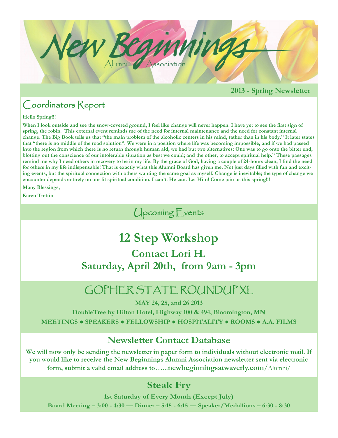

#### **2013 - Spring Newsletter**

## Coordinators Report

#### **Hello Spring!!!**

**When I look outside and see the snow-covered ground, I feel like change will never happen. I have yet to see the first sign of spring, the robin. This external event reminds me of the need for internal maintenance and the need for constant internal change. The Big Book tells us that "the main problem of the alcoholic centers in his mind, rather than in his body." It later states that "there is no middle of the road solution". We were in a position where life was becoming impossible, and if we had passed into the region from which there is no return through human aid, we had but two alternatives: One was to go onto the bitter end, blotting out the conscience of our intolerable situation as best we could; and the other, to accept spiritual help." These passages remind me why I need others in recovery to be in my life. By the grace of God, having a couple of 24-hours clean, I find the need for others in my life indispensable! That is exactly what this Alumni Board has given me. Not just days filled with fun and exciting events, but the spiritual connection with others wanting the same goal as myself. Change is inevitable; the type of change we encounter depends entirely on our fit spiritual condition. I can't. He can. Let Him! Come join us this spring!!!**

**Many Blessings,**

**Karen Trettin**

## Upcoming Events

# **12 Step Workshop**

**Contact Lori H. Saturday, April 20th, from 9am - 3pm**

# GOPHER STATE ROUNDUP XL

**MAY 24, 25, and 26 2013**

**DoubleTree by Hilton Hotel, Highway 100 & 494, Bloomington, MN MEETINGS ● SPEAKERS ● FELLOWSHIP ● HOSPITALITY ● ROOMS ● A.A. FILMS**

#### **Newsletter Contact Database**

**We will now only be sending the newsletter in paper form to individuals without electronic mail. If you would like to receive the New Beginnings Alumni Association newsletter sent via electronic form, submit a valid email address to**…...**[newbeginningsatwaverly.com](mailto:nbw.newsletter@gmail.com)**/Alumni/

## **Steak Fry**

**1st Saturday of Every Month (Except July) Board Meeting – 3:00 - 4:30 — Dinner – 5:15 - 6:15 — Speaker/Medallions – 6:30 - 8:30**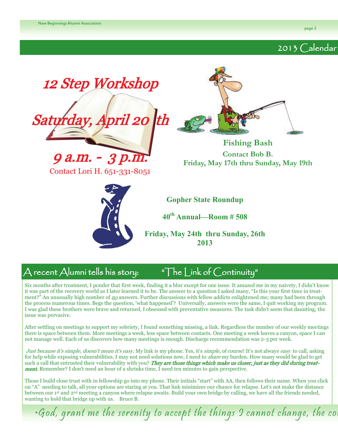### 2013 Calendar



# $\bigwedge$  recent  $\bigwedge$ lumni tells his story:  $\hphantom{a}$  "The Link of Continuity"

Six months after treatment, I ponder that first week, finding it a blur except for one issue. It amazed me in my naivety, I didn't know it was part of the recovery world as I later learned it to be. The answer to a question I asked many, "Is this your first time in treatment?" An unusually high number of no answers. Further discussions with fellow addicts enlightened me; many had been through the process numerous times. Begs the question, 'what happened'? Universally, answers were the same, I quit working my program. I was glad these brothers were brave and returned, I obsessed with preventative measures. The task didn't seem that daunting, the issue was pervasive.

After settling on meetings to support my sobriety, I found something missing, a link. Regardless the number of our weekly meetings there is space between them. More meetings a week, less space between contacts. One meeting a week leaves a canyon, space I can not manage well. Each of us discovers how many meetings is enough. Discharge recommendation was 2-3 per week.

Just because it's simple, doesn't mean it's easy. My link is my phone. Yes, it's simple, of course! It's not always easy to call, asking for help while exposing vulnerabilities. I may not need solutions now, I need to share my burden. How many would be glad to get such a call that entrusted their vulnerability with you? They are those things which make us closer, just as they did during treat**ment.** Remember? I don't need an hour of a shrinks time, I need ten minutes to gain perspective.

Those I build close trust with in fellowship go into my phone. Their initials "start" with AA, then follows their name. When you click on "A" needing to talk, all your options are staring at you. That link minimizes our chance for relapse. Let's not make the distance between our 1<sup>st</sup> and 2<sup>nd</sup> meeting a canyon where relapse awaits. Build your own bridge by calling, we have all the friends needed, wanting to hold that bridge up with us. Bruce B.

 $\cdot$ God, grant me the serenity to accept the things I cannot change, the co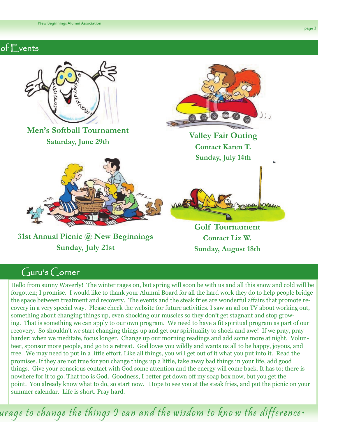#### of Events



## $Guru's$  Corner

Hello from sunny Waverly! The winter rages on, but spring will soon be with us and all this snow and cold will be forgotten; I promise. I would like to thank your Alumni Board for all the hard work they do to help people bridge the space between treatment and recovery. The events and the steak fries are wonderful affairs that promote recovery in a very special way. Please check the website for future activities. I saw an ad on TV about working out, something about changing things up, even shocking our muscles so they don't get stagnant and stop growing. That is something we can apply to our own program. We need to have a fit spiritual program as part of our recovery. So shouldn't we start changing things up and get our spirituality to shock and awe! If we pray, pray harder; when we meditate, focus longer. Change up our morning readings and add some more at night. Volunteer, sponsor more people, and go to a retreat. God loves you wildly and wants us all to be happy, joyous, and free. We may need to put in a little effort. Like all things, you will get out of it what you put into it. Read the promises. If they are not true for you change things up a little, take away bad things in your life, add good things. Give your conscious contact with God some attention and the energy will come back. It has to; there is nowhere for it to go. That too is God. Goodness, I better get down off my soap box now, but you get the point. You already know what to do, so start now. Hope to see you at the steak fries, and put the picnic on your summer calendar. Life is short. Pray hard.

urage to change the things I can and the wisdom to kno w the difference•